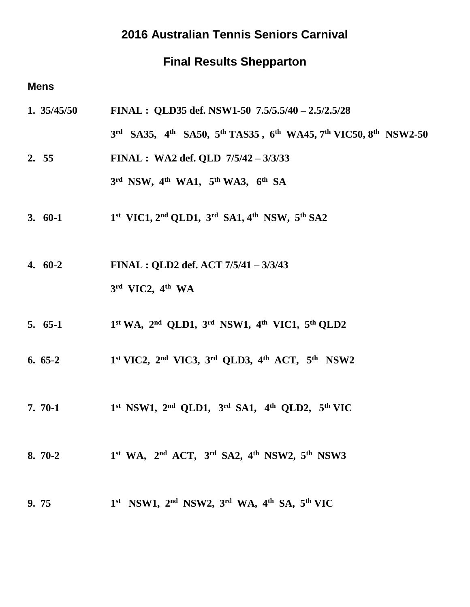## **2016 Australian Tennis Seniors Carnival**

## **Final Results Shepparton**

### **Mens**

**1. 35/45/50 FINAL : QLD35 def. NSW1-50 7.5/5.5/40 – 2.5/2.5/28 3 rd SA35, 4 th SA50, 5th TAS35 , 6th WA45, 7th VIC50, 8 th NSW2-50 2. 55 FINAL : WA2 def. QLD 7/5/42 – 3/3/33**

**3 rd NSW, 4 th WA1, 5 th WA3, 6 th SA** 

- **3. 60-1 1 st VIC1, 2nd QLD1, 3 rd SA1, 4 th NSW, 5 th SA2**
- **4. 60-2 FINAL : QLD2 def. ACT 7/5/41 – 3/3/43 3 rd VIC2, 4 th WA**
- **5. 65-1 1 st WA, 2 nd QLD1, 3 rd NSW1, 4 th VIC1, 5 th QLD2**
- **6. 65-2 1 st VIC2, 2 nd VIC3, 3 rd QLD3, 4 th ACT, 5 th NSW2**
- **7. 70-1 1 st NSW1, 2 nd QLD1, 3 rd SA1, 4 th QLD2, 5 th VIC**
- **8. 70-2 1 st WA, 2 nd ACT, 3 rd SA2, 4 th NSW2, 5 th NSW3**
- **9. 75 1 st NSW1, 2 nd NSW2, 3 rd WA, 4 th SA, 5 th VIC**